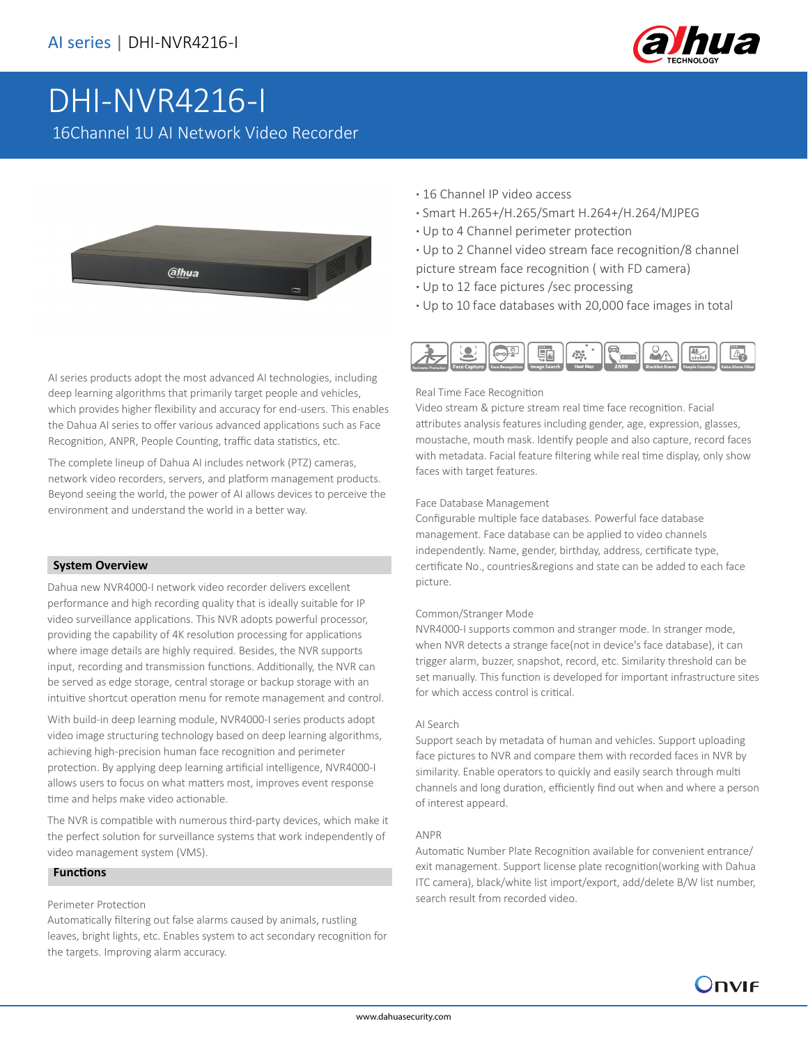

# DHI-NVR4216-I

16Channel 1U AI Network Video Recorder

**alhua** 

AI series products adopt the most advanced AI technologies, including deep learning algorithms that primarily target people and vehicles, which provides higher flexibility and accuracy for end-users. This enables the Dahua AI series to offer various advanced applications such as Face Recognition, ANPR, People Counting, traffic data statistics, etc.

The complete lineup of Dahua AI includes network (PTZ) cameras, network video recorders, servers, and platform management products. Beyond seeing the world, the power of AI allows devices to perceive the environment and understand the world in a better way.

#### **System Overview**

Dahua new NVR4000-I network video recorder delivers excellent performance and high recording quality that is ideally suitable for IP video surveillance applications. This NVR adopts powerful processor, providing the capability of 4K resolution processing for applications where image details are highly required. Besides, the NVR supports input, recording and transmission functions. Additionally, the NVR can be served as edge storage, central storage or backup storage with an intuitive shortcut operation menu for remote management and control.

With build-in deep learning module, NVR4000-I series products adopt video image structuring technology based on deep learning algorithms, achieving high-precision human face recognition and perimeter protection. By applying deep learning artificial intelligence, NVR4000-I allows users to focus on what matters most, improves event response time and helps make video actionable.

The NVR is compatible with numerous third-party devices, which make it the perfect solution for surveillance systems that work independently of video management system (VMS).

#### **Functions**

#### Perimeter Protection

Automatically filtering out false alarms caused by animals, rustling leaves, bright lights, etc. Enables system to act secondary recognition for the targets. Improving alarm accuracy.

- **·** 16 Channel IP video access
- **·** Smart H.265+/H.265/Smart H.264+/H.264/MJPEG
- **·** Up to 4 Channel perimeter protection
- **·** Up to 2 Channel video stream face recognition/8 channel picture stream face recognition ( with FD camera)
- **·** Up to 12 face pictures /sec processing
- **·** Up to 10 face databases with 20,000 face images in total



#### Real Time Face Recognition

Video stream & picture stream real time face recognition. Facial attributes analysis features including gender, age, expression, glasses, moustache, mouth mask. Identify people and also capture, record faces with metadata. Facial feature filtering while real time display, only show faces with target features.

#### Face Database Management

Configurable multiple face databases. Powerful face database management. Face database can be applied to video channels independently. Name, gender, birthday, address, certificate type, certificate No., countries&regions and state can be added to each face picture.

#### Common/Stranger Mode

NVR4000-I supports common and stranger mode. In stranger mode, when NVR detects a strange face(not in device's face database), it can trigger alarm, buzzer, snapshot, record, etc. Similarity threshold can be set manually. This function is developed for important infrastructure sites for which access control is critical.

#### AI Search

Support seach by metadata of human and vehicles. Support uploading face pictures to NVR and compare them with recorded faces in NVR by similarity. Enable operators to quickly and easily search through multi channels and long duration, efficiently find out when and where a person of interest appeard.

#### ANPR

Automatic Number Plate Recognition available for convenient entrance/ exit management. Support license plate recognition(working with Dahua ITC camera), black/white list import/export, add/delete B/W list number, search result from recorded video.

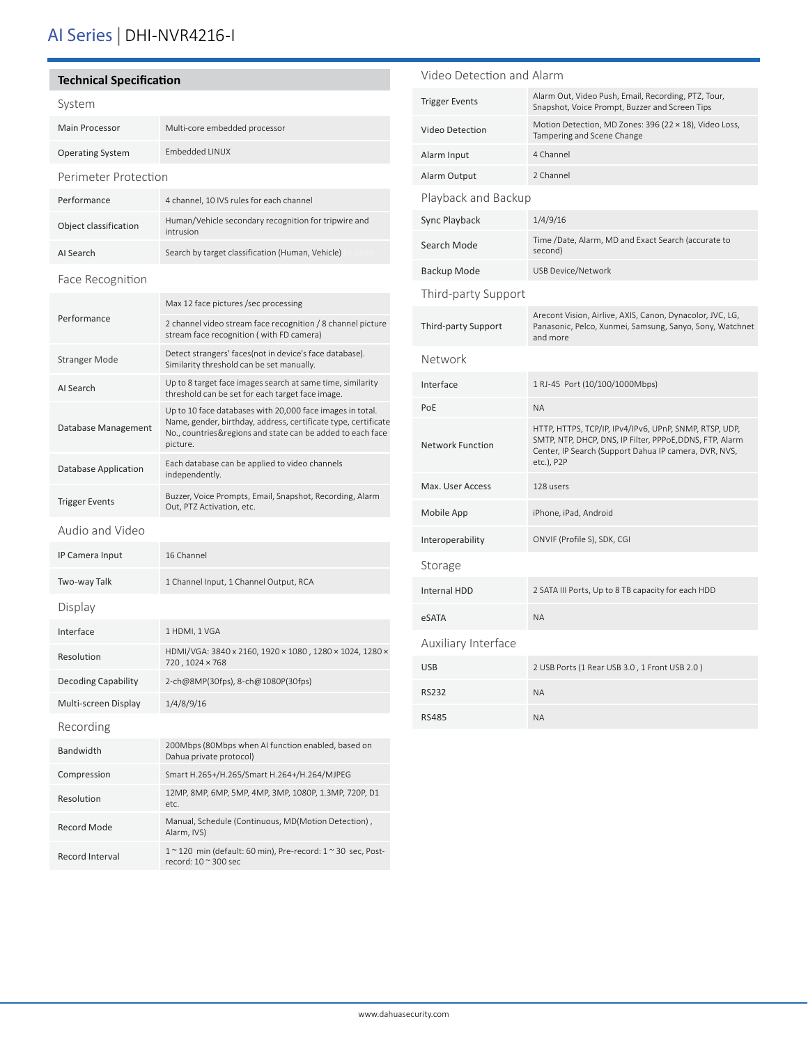## AI Series | DHI-NVR4216-I

#### **Technical Specification**

| System                  |                                                                                                                                                                                                       |  |
|-------------------------|-------------------------------------------------------------------------------------------------------------------------------------------------------------------------------------------------------|--|
| <b>Main Processor</b>   | Multi-core embedded processor                                                                                                                                                                         |  |
| <b>Operating System</b> | Embedded LINUX                                                                                                                                                                                        |  |
| Perimeter Protection    |                                                                                                                                                                                                       |  |
| Performance             | 4 channel, 10 IVS rules for each channel                                                                                                                                                              |  |
| Object classification   | Human/Vehicle secondary recognition for tripwire and<br>intrusion                                                                                                                                     |  |
| AI Search               | Search by target classification (Human, Vehicle)                                                                                                                                                      |  |
| Face Recognition        |                                                                                                                                                                                                       |  |
| Performance             | Max 12 face pictures /sec processing                                                                                                                                                                  |  |
|                         | 2 channel video stream face recognition / 8 channel picture<br>stream face recognition (with FD camera)                                                                                               |  |
| <b>Stranger Mode</b>    | Detect strangers' faces(not in device's face database).<br>Similarity threshold can be set manually.                                                                                                  |  |
| AI Search               | Up to 8 target face images search at same time, similarity<br>threshold can be set for each target face image.                                                                                        |  |
| Database Management     | Up to 10 face databases with 20,000 face images in total.<br>Name, gender, birthday, address, certificate type, certificate<br>No., countries&regions and state can be added to each face<br>picture. |  |
| Database Application    | Each database can be applied to video channels<br>independently.                                                                                                                                      |  |
| <b>Trigger Events</b>   | Buzzer, Voice Prompts, Email, Snapshot, Recording, Alarm<br>Out, PTZ Activation, etc.                                                                                                                 |  |
| Audio and Video         |                                                                                                                                                                                                       |  |
| IP Camera Input         | 16 Channel                                                                                                                                                                                            |  |
| Two-way Talk            | 1 Channel Input, 1 Channel Output, RCA                                                                                                                                                                |  |
| Display                 |                                                                                                                                                                                                       |  |
| Interface               | 1 HDMI, 1 VGA                                                                                                                                                                                         |  |
| Resolution              | HDMI/VGA: 3840 x 2160, 1920 × 1080 , 1280 × 1024, 1280 ×<br>720, 1024 × 768                                                                                                                           |  |
| Decoding Capability     | 2-ch@8MP(30fps), 8-ch@1080P(30fps)                                                                                                                                                                    |  |
| Multi-screen Display    | 1/4/8/9/16                                                                                                                                                                                            |  |
| Recording               |                                                                                                                                                                                                       |  |
| <b>Bandwidth</b>        | 200Mbps (80Mbps when AI function enabled, based on<br>Dahua private protocol)                                                                                                                         |  |
| Compression             | Smart H.265+/H.265/Smart H.264+/H.264/MJPEG                                                                                                                                                           |  |
| Resolution              | 12MP, 8MP, 6MP, 5MP, 4MP, 3MP, 1080P, 1.3MP, 720P, D1<br>etc.                                                                                                                                         |  |
| Record Mode             | Manual, Schedule (Continuous, MD(Motion Detection),<br>Alarm, IVS)                                                                                                                                    |  |
| Record Interval         | 1 ~ 120 min (default: 60 min), Pre-record: 1 ~ 30 sec, Post-<br>record: 10 ~ 300 sec                                                                                                                  |  |

## Video Detection and Alarm Trigger Events Alarm Out, Video Push, Email, Recording, PTZ, Tour, Snapshot, Voice Prompt, Buzzer and Screen Tips Video Detection Motion Detection, MD Zones: 396 (22 × 18), Video Loss, Tampering and Scene Change Alarm Input 4 Channel Alarm Output 2 Channel Playback and Backup Sync Playback 1/4/9/16 Search Mode<br>
Search Mode<br>  $\frac{1}{2}$ <br>  $\frac{1}{2}$ <br>  $\frac{1}{2}$ <br>  $\frac{1}{2}$ <br>  $\frac{1}{2}$ <br>  $\frac{1}{2}$ <br>  $\frac{1}{2}$ <br>  $\frac{1}{2}$ <br>  $\frac{1}{2}$ <br>  $\frac{1}{2}$ <br>  $\frac{1}{2}$ <br>  $\frac{1}{2}$ <br>  $\frac{1}{2}$ <br>  $\frac{1}{2}$ <br>  $\frac{1}{2}$ <br>  $\frac{1}{2}$ <br>  $\frac{1}{2}$ <br>  $\frac{1}{2}$ second) Backup Mode USB Device/Network Third-party Support Third-party Support Arecont Vision, Airlive, AXIS, Canon, Dynacolor, JVC, LG, Panasonic, Pelco, Xunmei, Samsung, Sanyo, Sony, Watchnet and more Network Interface 1 RJ-45 Port (10/100/1000Mbps) PoE NA Network Function HTTP, HTTPS, TCP/IP, IPv4/IPv6, UPnP, SNMP, RTSP, UDP, SMTP, NTP, DHCP, DNS, IP Filter, PPPoE,DDNS, FTP, Alarm Center, IP Search (Support Dahua IP camera, DVR, NVS, etc.), P2P Max. User Access 128 users Mobile App iPhone, iPad, Android Interoperability ONVIF (Profile S), SDK, CGI Storage Internal HDD 2 SATA III Ports, Up to 8 TB capacity for each HDD eSATA NA Auxiliary Interface USB 2.0 ) 2 USB Ports (1 Rear USB 3.0 , 1 Front USB 2.0 ) RS232 NA RS485 NA